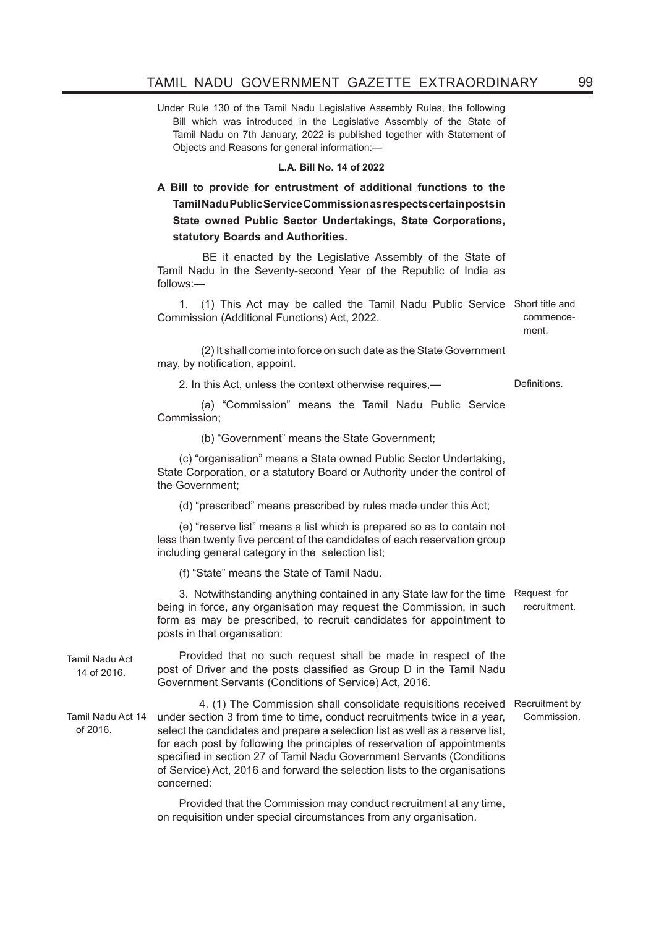Under Rule 130 of the Tamil Nadu Legislative Assembly Rules, the following Bill which was introduced in the Legislative Assembly of the State of Tamil Nadu on 7th January, 2022 is published together with Statement of Objects and Reasons for general information:—

## **L.A. Bill No. 14 of 2022**

## **A Bill to provide for entrustment of additional functions to the Tamil Nadu Public Service Commission as respects certain posts in State owned Public Sector Undertakings, State Corporations, statutory Boards and Authorities.**

 BE it enacted by the Legislative Assembly of the State of Tamil Nadu in the Seventy-second Year of the Republic of India as follows:—

1. (1) This Act may be called the Tamil Nadu Public Service Short title and Commission (Additional Functions) Act, 2022. commence-

ment.

 (2) It shall come into force on such date as the State Government may, by notification, appoint.

2. In this Act, unless the context otherwise requires,— Definitions.

 (a) "Commission" means the Tamil Nadu Public Service Commission;

(b) "Government" means the State Government;

(c) "organisation" means a State owned Public Sector Undertaking, State Corporation, or a statutory Board or Authority under the control of the Government;

(d) "prescribed" means prescribed by rules made under this Act;

(e) "reserve list" means a list which is prepared so as to contain not less than twenty five percent of the candidates of each reservation group including general category in the selection list;

(f) "State" means the State of Tamil Nadu.

3. Notwithstanding anything contained in any State law for the time Request for being in force, any organisation may request the Commission, in such form as may be prescribed, to recruit candidates for appointment to posts in that organisation: recruitment.

Tamil Nadu Act 14 of 2016.

Provided that no such request shall be made in respect of the post of Driver and the posts classified as Group D in the Tamil Nadu Government Servants (Conditions of Service) Act, 2016.

Tamil Nadu Act 14 of 2016. 4. (1) The Commission shall consolidate requisitions received Recruitment by under section 3 from time to time, conduct recruitments twice in a year, select the candidates and prepare a selection list as well as a reserve list, for each post by following the principles of reservation of appointments specified in section 27 of Tamil Nadu Government Servants (Conditions of Service) Act, 2016 and forward the selection lists to the organisations concerned: Commission.

> Provided that the Commission may conduct recruitment at any time, on requisition under special circumstances from any organisation.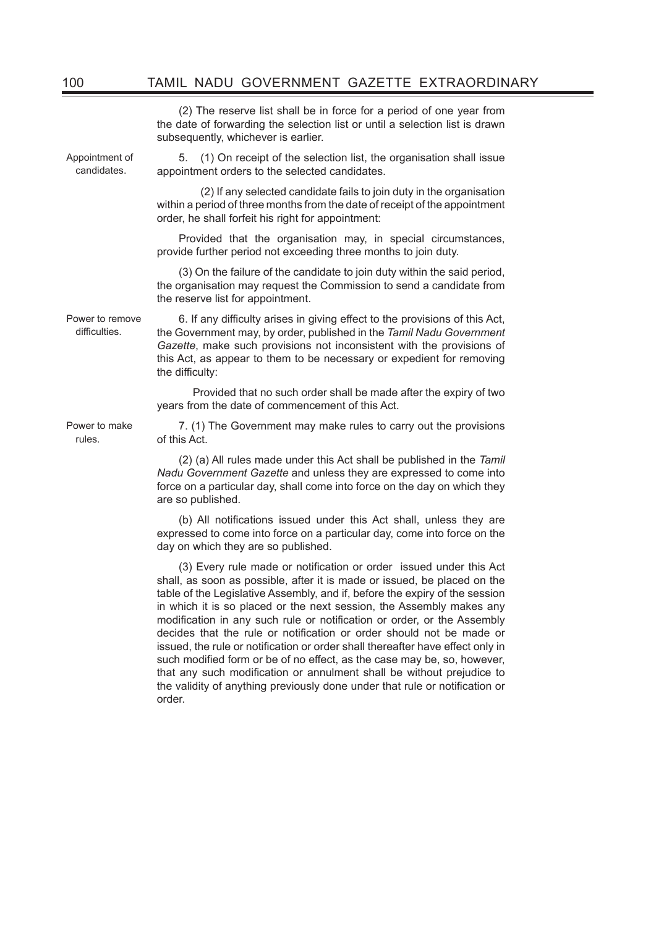(2) The reserve list shall be in force for a period of one year from the date of forwarding the selection list or until a selection list is drawn subsequently, whichever is earlier.

Appointment of candidates.

5. (1) On receipt of the selection list, the organisation shall issue appointment orders to the selected candidates.

 (2) If any selected candidate fails to join duty in the organisation within a period of three months from the date of receipt of the appointment order, he shall forfeit his right for appointment:

Provided that the organisation may, in special circumstances, provide further period not exceeding three months to join duty.

(3) On the failure of the candidate to join duty within the said period, the organisation may request the Commission to send a candidate from the reserve list for appointment.

Power to remove difficulties.

Power to make rules.

6. If any difficulty arises in giving effect to the provisions of this Act, the Government may, by order, published in the *Tamil Nadu Government Gazette*, make such provisions not inconsistent with the provisions of this Act, as appear to them to be necessary or expedient for removing the difficulty:

 Provided that no such order shall be made after the expiry of two years from the date of commencement of this Act.

7. (1) The Government may make rules to carry out the provisions of this Act.

(2) (a) All rules made under this Act shall be published in the *Tamil Nadu Government Gazette* and unless they are expressed to come into force on a particular day, shall come into force on the day on which they are so published.

(b) All notifications issued under this Act shall, unless they are expressed to come into force on a particular day, come into force on the day on which they are so published.

(3) Every rule made or notification or order issued under this Act shall, as soon as possible, after it is made or issued, be placed on the table of the Legislative Assembly, and if, before the expiry of the session in which it is so placed or the next session, the Assembly makes any modification in any such rule or notification or order, or the Assembly decides that the rule or notification or order should not be made or issued, the rule or notification or order shall thereafter have effect only in such modified form or be of no effect, as the case may be, so, however, that any such modification or annulment shall be without prejudice to the validity of anything previously done under that rule or notification or order.